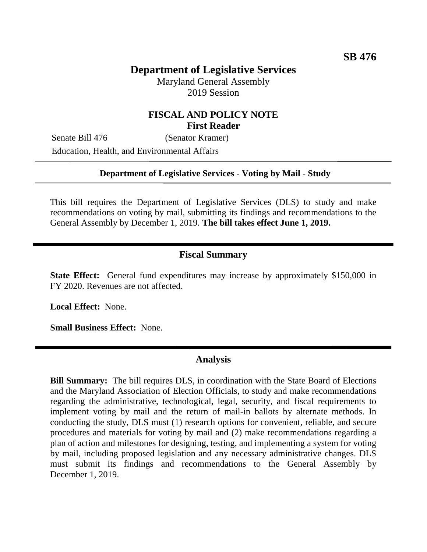# **Department of Legislative Services**

Maryland General Assembly 2019 Session

## **FISCAL AND POLICY NOTE First Reader**

Senate Bill 476 (Senator Kramer) Education, Health, and Environmental Affairs

### **Department of Legislative Services - Voting by Mail - Study**

This bill requires the Department of Legislative Services (DLS) to study and make recommendations on voting by mail, submitting its findings and recommendations to the General Assembly by December 1, 2019. **The bill takes effect June 1, 2019.**

### **Fiscal Summary**

**State Effect:** General fund expenditures may increase by approximately \$150,000 in FY 2020. Revenues are not affected.

**Local Effect:** None.

**Small Business Effect:** None.

### **Analysis**

**Bill Summary:** The bill requires DLS, in coordination with the State Board of Elections and the Maryland Association of Election Officials, to study and make recommendations regarding the administrative, technological, legal, security, and fiscal requirements to implement voting by mail and the return of mail-in ballots by alternate methods. In conducting the study, DLS must (1) research options for convenient, reliable, and secure procedures and materials for voting by mail and (2) make recommendations regarding a plan of action and milestones for designing, testing, and implementing a system for voting by mail, including proposed legislation and any necessary administrative changes. DLS must submit its findings and recommendations to the General Assembly by December 1, 2019.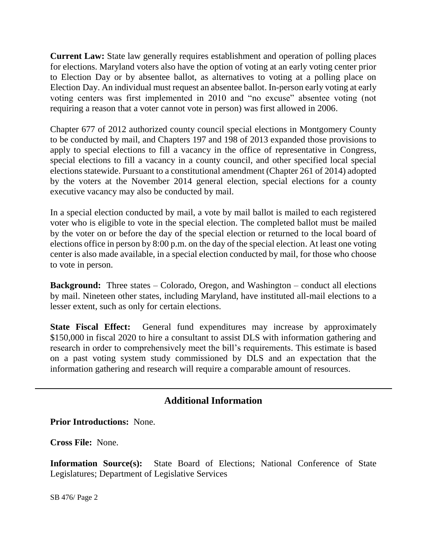**Current Law:** State law generally requires establishment and operation of polling places for elections. Maryland voters also have the option of voting at an early voting center prior to Election Day or by absentee ballot, as alternatives to voting at a polling place on Election Day. An individual must request an absentee ballot. In-person early voting at early voting centers was first implemented in 2010 and "no excuse" absentee voting (not requiring a reason that a voter cannot vote in person) was first allowed in 2006.

Chapter 677 of 2012 authorized county council special elections in Montgomery County to be conducted by mail, and Chapters 197 and 198 of 2013 expanded those provisions to apply to special elections to fill a vacancy in the office of representative in Congress, special elections to fill a vacancy in a county council, and other specified local special elections statewide. Pursuant to a constitutional amendment (Chapter 261 of 2014) adopted by the voters at the November 2014 general election, special elections for a county executive vacancy may also be conducted by mail.

In a special election conducted by mail, a vote by mail ballot is mailed to each registered voter who is eligible to vote in the special election. The completed ballot must be mailed by the voter on or before the day of the special election or returned to the local board of elections office in person by 8:00 p.m. on the day of the special election. At least one voting center is also made available, in a special election conducted by mail, for those who choose to vote in person.

**Background:** Three states – Colorado, Oregon, and Washington – conduct all elections by mail. Nineteen other states, including Maryland, have instituted all-mail elections to a lesser extent, such as only for certain elections.

**State Fiscal Effect:** General fund expenditures may increase by approximately \$150,000 in fiscal 2020 to hire a consultant to assist DLS with information gathering and research in order to comprehensively meet the bill's requirements. This estimate is based on a past voting system study commissioned by DLS and an expectation that the information gathering and research will require a comparable amount of resources.

# **Additional Information**

**Prior Introductions:** None.

**Cross File:** None.

**Information Source(s):** State Board of Elections; National Conference of State Legislatures; Department of Legislative Services